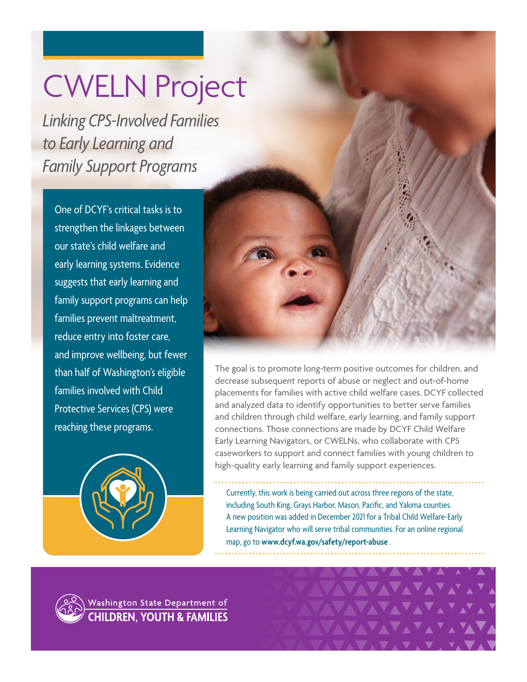## CWELN Project

*Linking CPS-Involved Families to Early Learning and Family Support Programs* 

One of DCYF's critical tasks is to strengthen the linkages between our state's child welfare and early learning systems. Evidence suggests that early learning and family support programs can help families prevent maltreatment, reduce entry into foster care, and improve wellbeing, but fewer than half of Washington's eligible families involved with Child Protective Services (CPS) were reaching these programs.





The goal is to promote long-term positive outcomes for children, and decrease subsequent reports of abuse or neglect and out-of-home placements for families with active child welfare cases. DCYF collected and analyzed data to identify opportunities to better serve families and children through child welfare, early learning, and family support connections. Those connections are made by DCYF Child Welfare Early Learning Navigators, or CWELNs, who collaborate with CPS caseworkers to support and connect families with young children to high-quality early learning and family support experiences.

Currently, this work is being carried out across three regions of the state, including South King, Grays Harbor, Mason, Pacific, and Yakima counties. A new position was added in December 2021 for a Tribal Child Welfare-Early Learning Navigator who will serve tribal communities. For an online regional map, go to **[www.dcyf.wa.gov/safety/report-abuse](http://www.dcyf.wa.gov/safety/report-abuse)** .

**AVAVAVA** 



Washington State Department of **CHILDREN, YOUTH & FAMILIES**